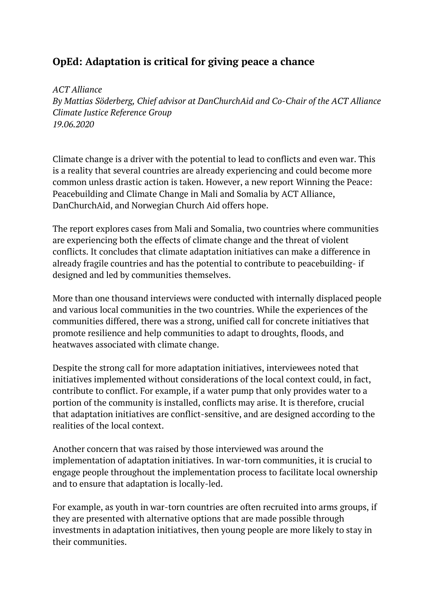## **OpEd: Adaptation is critical for giving peace a chance**

*ACT Alliance By Mattias Söderberg, Chief advisor at DanChurchAid and Co-Chair of the ACT Alliance Climate Justice Reference Group 19.06.2020*

Climate change is a driver with the potential to lead to conflicts and even war. This is a reality that several countries are already experiencing and could become more common unless drastic action is taken. However, a new report [Winning](https://actalliance.org/wp-content/uploads/2020/06/PeaceAndClimate_Report_FINAL-2020.pdf) the Peace: [Peacebuilding](https://actalliance.org/wp-content/uploads/2020/06/PeaceAndClimate_Report_FINAL-2020.pdf) and Climate Change in Mali and Somalia by ACT Alliance, DanChurchAid, and Norwegian Church Aid offers hope.

The report explores cases from Mali and Somalia, two countries where communities are experiencing both the effects of climate change and the threat of violent conflicts. It concludes that climate adaptation initiatives can make a difference in already fragile countries and has the potential to contribute to peacebuilding- if designed and led by communities themselves.

More than one thousand interviews were conducted with internally displaced people and various local communities in the two countries. While the experiences of the communities differed, there was a strong, unified call for concrete initiatives that promote resilience and help communities to adapt to droughts, floods, and heatwaves associated with climate change.

Despite the strong call for more adaptation initiatives, interviewees noted that initiatives implemented without considerations of the local context could, in fact, contribute to conflict. For example, if a water pump that only provides water to a portion of the community is installed, conflicts may arise. It is therefore, crucial that adaptation initiatives are conflict-sensitive, and are designed according to the realities of the local context.

Another concern that was raised by those interviewed was around the implementation of adaptation initiatives. In war-torn communities, it is crucial to engage people throughout the implementation process to facilitate local ownership and to ensure that adaptation is locally-led.

For example, as youth in war-torn countries are often recruited into arms groups, if they are presented with alternative options that are made possible through investments in adaptation initiatives, then young people are more likely to stay in their communities.